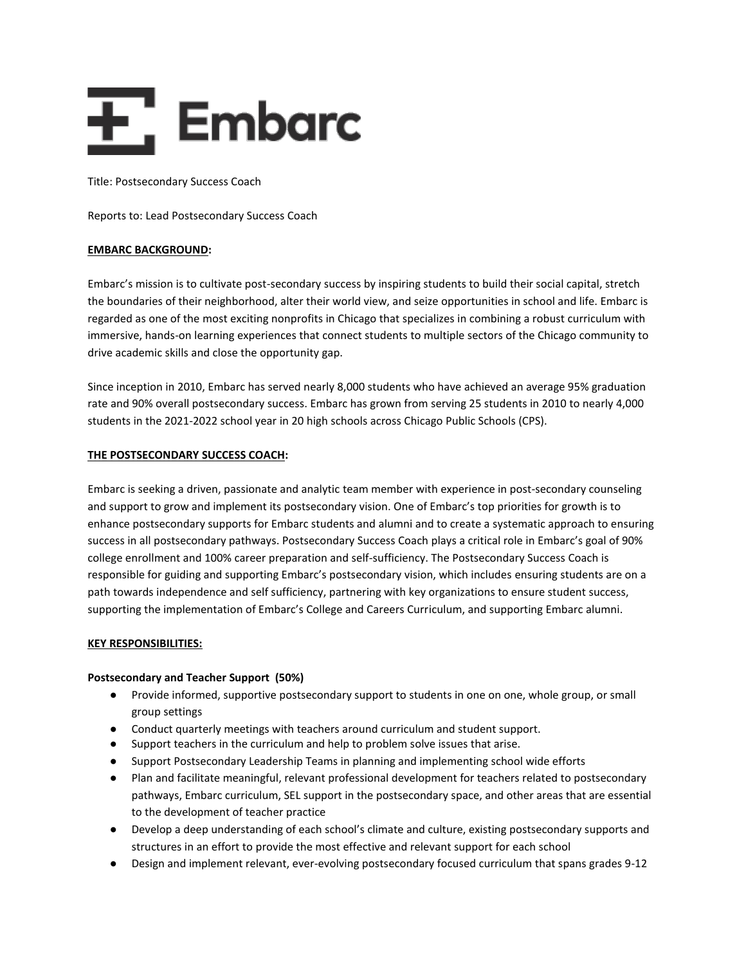

Title: Postsecondary Success Coach

Reports to: Lead Postsecondary Success Coach

## **EMBARC BACKGROUND:**

Embarc's mission is to cultivate post-secondary success by inspiring students to build their social capital, stretch the boundaries of their neighborhood, alter their world view, and seize opportunities in school and life. Embarc is regarded as one of the most exciting nonprofits in Chicago that specializes in combining a robust curriculum with immersive, hands-on learning experiences that connect students to multiple sectors of the Chicago community to drive academic skills and close the opportunity gap.

Since inception in 2010, Embarc has served nearly 8,000 students who have achieved an average 95% graduation rate and 90% overall postsecondary success. Embarc has grown from serving 25 students in 2010 to nearly 4,000 students in the 2021-2022 school year in 20 high schools across Chicago Public Schools (CPS).

#### **THE POSTSECONDARY SUCCESS COACH:**

Embarc is seeking a driven, passionate and analytic team member with experience in post-secondary counseling and support to grow and implement its postsecondary vision. One of Embarc's top priorities for growth is to enhance postsecondary supports for Embarc students and alumni and to create a systematic approach to ensuring success in all postsecondary pathways. Postsecondary Success Coach plays a critical role in Embarc's goal of 90% college enrollment and 100% career preparation and self-sufficiency. The Postsecondary Success Coach is responsible for guiding and supporting Embarc's postsecondary vision, which includes ensuring students are on a path towards independence and self sufficiency, partnering with key organizations to ensure student success, supporting the implementation of Embarc's College and Careers Curriculum, and supporting Embarc alumni.

#### **KEY RESPONSIBILITIES:**

#### **Postsecondary and Teacher Support (50%)**

- Provide informed, supportive postsecondary support to students in one on one, whole group, or small group settings
- Conduct quarterly meetings with teachers around curriculum and student support.
- Support teachers in the curriculum and help to problem solve issues that arise.
- Support Postsecondary Leadership Teams in planning and implementing school wide efforts
- Plan and facilitate meaningful, relevant professional development for teachers related to postsecondary pathways, Embarc curriculum, SEL support in the postsecondary space, and other areas that are essential to the development of teacher practice
- Develop a deep understanding of each school's climate and culture, existing postsecondary supports and structures in an effort to provide the most effective and relevant support for each school
- Design and implement relevant, ever-evolving postsecondary focused curriculum that spans grades 9-12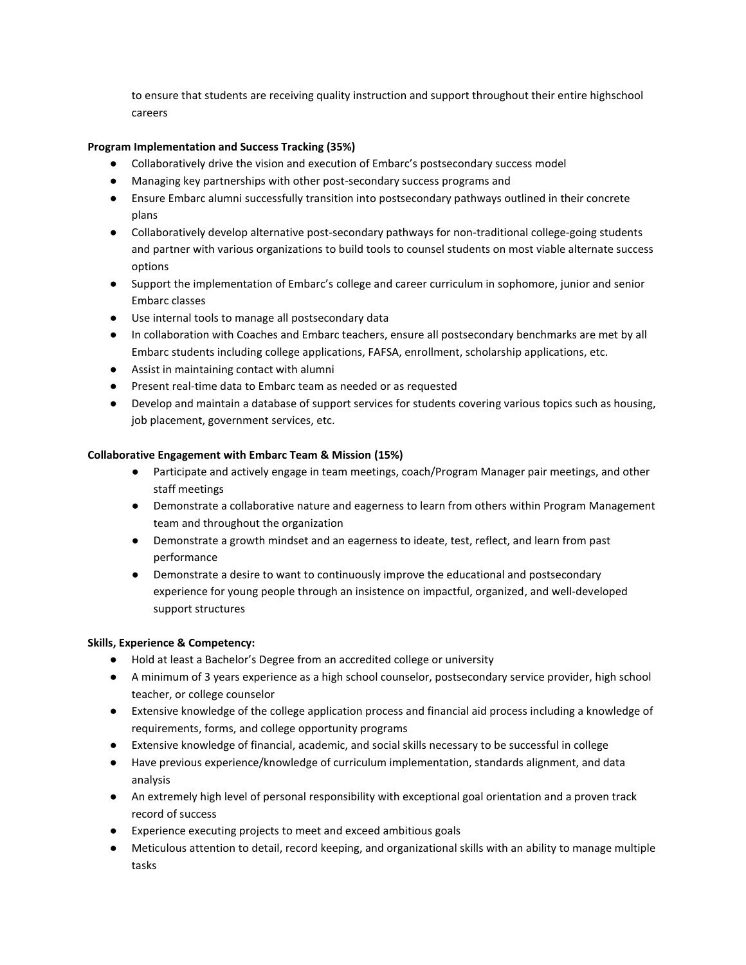to ensure that students are receiving quality instruction and support throughout their entire highschool careers

# **Program Implementation and Success Tracking (35%)**

- Collaboratively drive the vision and execution of Embarc's postsecondary success model
- Managing key partnerships with other post-secondary success programs and
- Ensure Embarc alumni successfully transition into postsecondary pathways outlined in their concrete plans
- Collaboratively develop alternative post-secondary pathways for non-traditional college-going students and partner with various organizations to build tools to counsel students on most viable alternate success options
- Support the implementation of Embarc's college and career curriculum in sophomore, junior and senior Embarc classes
- Use internal tools to manage all postsecondary data
- In collaboration with Coaches and Embarc teachers, ensure all postsecondary benchmarks are met by all Embarc students including college applications, FAFSA, enrollment, scholarship applications, etc.
- Assist in maintaining contact with alumni
- Present real-time data to Embarc team as needed or as requested
- Develop and maintain a database of support services for students covering various topics such as housing, job placement, government services, etc.

## **Collaborative Engagement with Embarc Team & Mission (15%)**

- Participate and actively engage in team meetings, coach/Program Manager pair meetings, and other staff meetings
- Demonstrate a collaborative nature and eagerness to learn from others within Program Management team and throughout the organization
- Demonstrate a growth mindset and an eagerness to ideate, test, reflect, and learn from past performance
- Demonstrate a desire to want to continuously improve the educational and postsecondary experience for young people through an insistence on impactful, organized, and well-developed support structures

## **Skills, Experience & Competency:**

- Hold at least a Bachelor's Degree from an accredited college or university
- A minimum of 3 years experience as a high school counselor, postsecondary service provider, high school teacher, or college counselor
- Extensive knowledge of the college application process and financial aid process including a knowledge of requirements, forms, and college opportunity programs
- Extensive knowledge of financial, academic, and social skills necessary to be successful in college
- Have previous experience/knowledge of curriculum implementation, standards alignment, and data analysis
- An extremely high level of personal responsibility with exceptional goal orientation and a proven track record of success
- Experience executing projects to meet and exceed ambitious goals
- Meticulous attention to detail, record keeping, and organizational skills with an ability to manage multiple tasks